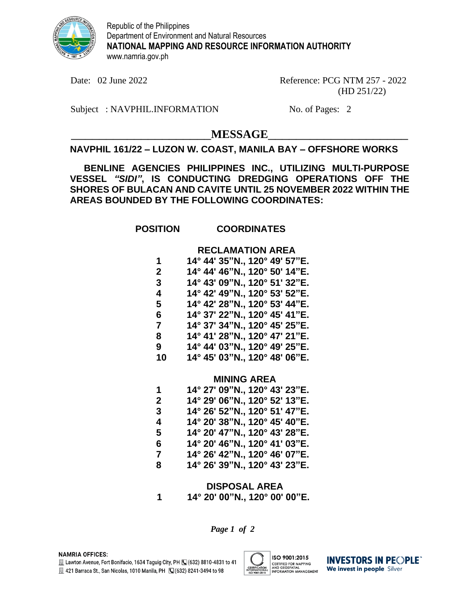

Republic of the Philippines Department of Environment and Natural Resources **NATIONAL MAPPING AND RESOURCE INFORMATION AUTHORITY** www.namria.gov.ph

Date: 02 June 2022 Reference: PCG NTM 257 - 2022 (HD 251/22)

Subject : NAVPHIL.INFORMATION No. of Pages: 2

 $MESSAGE$ 

# **NAVPHIL 161/22 – LUZON W. COAST, MANILA BAY – OFFSHORE WORKS**

**BENLINE AGENCIES PHILIPPINES INC., UTILIZING MULTI-PURPOSE VESSEL** *"SIDI"***, IS CONDUCTING DREDGING OPERATIONS OFF THE SHORES OF BULACAN AND CAVITE UNTIL 25 NOVEMBER 2022 WITHIN THE AREAS BOUNDED BY THE FOLLOWING COORDINATES:**

# **POSITION COORDINATES**

### **RECLAMATION AREA**

| 1            | 14° 44' 35"N., 120° 49' 57"E. |
|--------------|-------------------------------|
| $\mathbf{2}$ | 14° 44' 46"N., 120° 50' 14"E. |
| 3            | 14° 43' 09"N., 120° 51' 32"E. |
| 4            | 14° 42' 49"N., 120° 53' 52"E. |
| 5            | 14° 42' 28"N., 120° 53' 44"E. |
| 6            | 14° 37' 22"N., 120° 45' 41"E. |
| 7            | 14° 37' 34"N., 120° 45' 25"E. |
| 8            | 14° 41' 28"N., 120° 47' 21"E. |
| 9            | 14° 44' 03"N., 120° 49' 25"E. |
| 10           | 14° 45' 03"N., 120° 48' 06"E. |

#### **MINING AREA**

| 14° 29' 06"N., 120° 52' 13"E.<br>2<br>3<br>4<br>5<br>6<br>7<br>8 | 1 | 14° 27' 09"N., 120° 43' 23"E. |
|------------------------------------------------------------------|---|-------------------------------|
|                                                                  |   |                               |
|                                                                  |   | 14° 26' 52"N., 120° 51' 47"E. |
|                                                                  |   | 14° 20' 38"N., 120° 45' 40"E. |
|                                                                  |   | 14° 20' 47"N., 120° 43' 28"E. |
|                                                                  |   | 14° 20' 46"N., 120° 41' 03"E. |
|                                                                  |   | 14° 26' 42"N., 120° 46' 07"E. |
|                                                                  |   | 14° 26' 39"N., 120° 43' 23"E. |

### **DISPOSAL AREA 1 14° 20' 00"N., 120° 00' 00"E.**

*Page 1 of 2*



**INVESTORS IN PEOPLE** We invest in people Silver